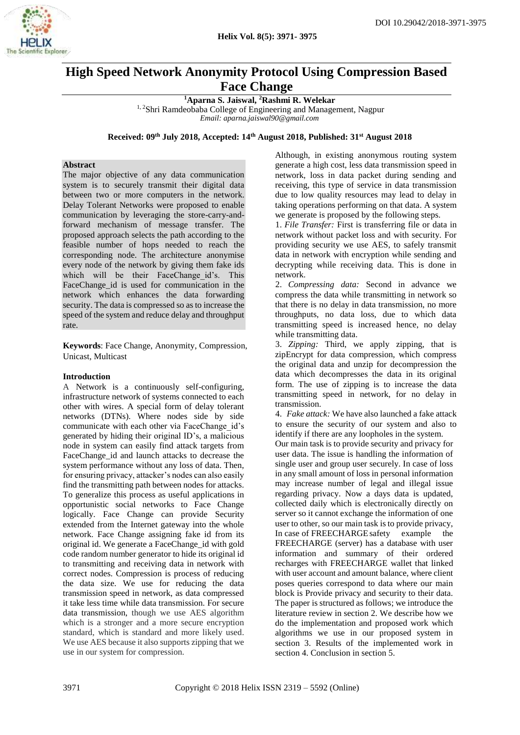

# **High Speed Network Anonymity Protocol Using Compression Based Face Change**

**<sup>1</sup>Aparna S. Jaiswal, <sup>2</sup>Rashmi R. Welekar**

<sup>1, 2</sup>Shri Ramdeobaba College of Engineering and Management, Nagpur *Email: [aparna.jaiswal90@gmail.com](mailto:aparna.jaiswal90@gmail.com)*

**Received: 09th July 2018, Accepted: 14th August 2018, Published: 31st August 2018**

## **Abstract**

The major objective of any data communication system is to securely transmit their digital data between two or more computers in the network. Delay Tolerant Networks were proposed to enable communication by leveraging the store-carry-andforward mechanism of message transfer. The proposed approach selects the path according to the feasible number of hops needed to reach the corresponding node. The architecture anonymise every node of the network by giving them fake ids which will be their FaceChange id's. This FaceChange id is used for communication in the network which enhances the data forwarding security. The data is compressed so as to increase the speed of the system and reduce delay and throughput rate.

**Keywords**: Face Change, Anonymity, Compression, Unicast, Multicast

#### **Introduction**

A Network is a continuously self-configuring, infrastructure network of systems connected to each other with wires. A special form of delay tolerant networks (DTNs). Where nodes side by side communicate with each other via FaceChange id's generated by hiding their original ID's, a malicious node in system can easily find attack targets from FaceChange id and launch attacks to decrease the system performance without any loss of data. Then, for ensuring privacy, attacker's nodes can also easily find the transmitting path between nodes for attacks. To generalize this process as useful applications in opportunistic social networks to Face Change logically. Face Change can provide Security extended from the Internet gateway into the whole network. Face Change assigning fake id from its original id. We generate a FaceChange\_id with gold code random number generator to hide its original id to transmitting and receiving data in network with correct nodes. Compression is process of reducing the data size. We use for reducing the data transmission speed in network, as data compressed it take less time while data transmission. For secure data transmission, though we use AES algorithm which is a stronger and a more secure encryption standard, which is standard and more likely used. We use AES because it also supports zipping that we use in our system for compression.

Although, in existing anonymous routing system generate a high cost, less data transmission speed in network, loss in data packet during sending and receiving, this type of service in data transmission due to low quality resources may lead to delay in taking operations performing on that data. A system we generate is proposed by the following steps.

1. *File Transfer:* First is transferring file or data in network without packet loss and with security. For providing security we use AES, to safely transmit data in network with encryption while sending and decrypting while receiving data. This is done in network.

2. *Compressing data:* Second in advance we compress the data while transmitting in network so that there is no delay in data transmission, no more throughputs, no data loss, due to which data transmitting speed is increased hence, no delay while transmitting data.

3. *Zipping:* Third, we apply zipping, that is zipEncrypt for data compression, which compress the original data and unzip for decompression the data which decompresses the data in its original form. The use of zipping is to increase the data transmitting speed in network, for no delay in transmission.

4. *Fake attack:* We have also launched a fake attack to ensure the security of our system and also to identify if there are any loopholes in the system.

Our main task is to provide security and privacy for user data. The issue is handling the information of single user and group user securely. In case of loss in any small amount of loss in personal information may increase number of legal and illegal issue regarding privacy. Now a days data is updated, collected daily which is electronically directly on server so it cannot exchange the information of one user to other, so our main task is to provide privacy, In case of FREECHARGEsafety example the FREECHARGE (server) has a database with user information and summary of their ordered recharges with FREECHARGE wallet that linked with user account and amount balance, where client poses queries correspond to data where our main block is Provide privacy and security to their data. The paper is structured as follows; we introduce the literature review in section 2. We describe how we do the implementation and proposed work which algorithms we use in our proposed system in section 3. Results of the implemented work in section 4. Conclusion in section 5.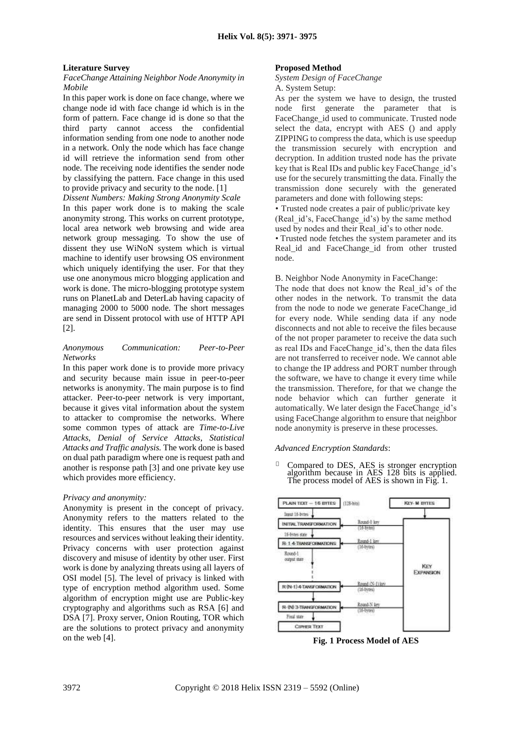#### **Literature Survey**

#### *FaceChange Attaining Neighbor Node Anonymity in Mobile*

In this paper work is done on face change, where we change node id with face change id which is in the form of pattern. Face change id is done so that the third party cannot access the confidential information sending from one node to another node in a network. Only the node which has face change id will retrieve the information send from other node. The receiving node identifies the sender node by classifying the pattern. Face change in this used to provide privacy and security to the node. [1]

*Dissent Numbers: Making Strong Anonymity Scale* In this paper work done is to making the scale anonymity strong. This works on current prototype, local area network web browsing and wide area network group messaging. To show the use of dissent they use WiNoN system which is virtual machine to identify user browsing OS environment which uniquely identifying the user. For that they use one anonymous micro blogging application and work is done. The micro-blogging prototype system runs on PlanetLab and DeterLab having capacity of managing 2000 to 5000 node. The short messages are send in Dissent protocol with use of HTTP API [2].

#### *Anonymous Communication: Peer-to-Peer Networks*

In this paper work done is to provide more privacy and security because main issue in peer-to-peer networks is anonymity. The main purpose is to find attacker. Peer-to-peer network is very important, because it gives vital information about the system to attacker to compromise the networks. Where some common types of attack are *Time-to-Live Attacks*, *Denial of Service Attacks, Statistical Attacks and Traffic analysis.* The work done is based on dual path paradigm where one is request path and another is response path [3] and one private key use which provides more efficiency.

#### *Privacy and anonymity:*

Anonymity is present in the concept of privacy. Anonymity refers to the matters related to the identity. This ensures that the user may use resources and services without leaking their identity. Privacy concerns with user protection against discovery and misuse of identity by other user. First work is done by analyzing threats using all layers of OSI model [5]. The level of privacy is linked with type of encryption method algorithm used. Some algorithm of encryption might use are Public-key cryptography and algorithms such as RSA [6] and DSA [7]. Proxy server, Onion Routing, TOR which are the solutions to protect privacy and anonymity on the web [4].

#### **Proposed Method**

# *System Design of FaceChange*

A. System Setup:

As per the system we have to design, the trusted node first generate the parameter that is FaceChange\_id used to communicate. Trusted node select the data, encrypt with AES () and apply ZIPPING to compress the data, which is use speedup the transmission securely with encryption and decryption. In addition trusted node has the private key that is Real IDs and public key FaceChange id's use for the securely transmitting the data. Finally the transmission done securely with the generated parameters and done with following steps:

• Trusted node creates a pair of public/private key (Real\_id's, FaceChange\_id's) by the same method used by nodes and their Real\_id's to other node.

• Trusted node fetches the system parameter and its Real\_id and FaceChange\_id from other trusted node.

B. Neighbor Node Anonymity in FaceChange: The node that does not know the Real\_id's of the other nodes in the network. To transmit the data from the node to node we generate FaceChange id for every node. While sending data if any node disconnects and not able to receive the files because of the not proper parameter to receive the data such as real IDs and FaceChange id's, then the data files are not transferred to receiver node. We cannot able to change the IP address and PORT number through the software, we have to change it every time while the transmission. Therefore, for that we change the node behavior which can further generate it automatically. We later design the FaceChange\_id's using FaceChange algorithm to ensure that neighbor node anonymity is preserve in these processes.

#### *Advanced Encryption Standards*:

 $\Box$ Compared to DES, AES is stronger encryption algorithm because in AES 128 bits is applied. The process model of AES is shown in Fig. 1.



**Fig. 1 Process Model of AES**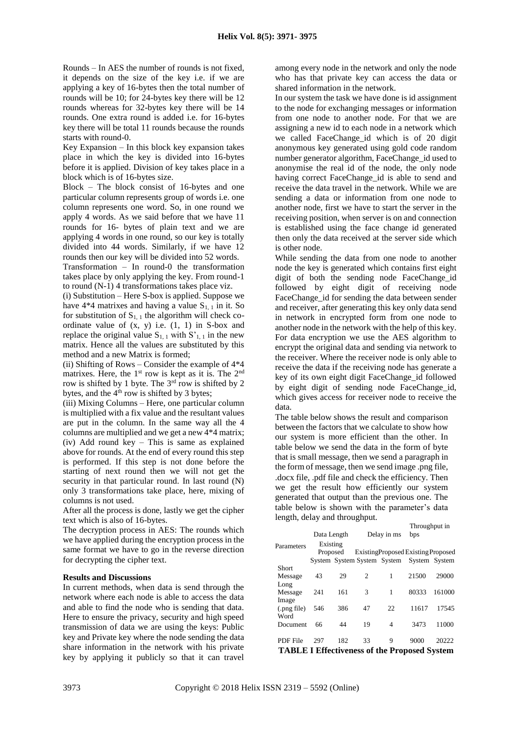Rounds – In AES the number of rounds is not fixed, it depends on the size of the key i.e. if we are applying a key of 16-bytes then the total number of rounds will be 10; for 24-bytes key there will be 12 rounds whereas for 32-bytes key there will be 14 rounds. One extra round is added i.e. for 16-bytes key there will be total 11 rounds because the rounds starts with round-0.

Key Expansion – In this block key expansion takes place in which the key is divided into 16-bytes before it is applied. Division of key takes place in a block which is of 16-bytes size.

Block – The block consist of 16-bytes and one particular column represents group of words i.e. one column represents one word. So, in one round we apply 4 words. As we said before that we have 11 rounds for 16- bytes of plain text and we are applying 4 words in one round, so our key is totally divided into 44 words. Similarly, if we have 12 rounds then our key will be divided into 52 words.

Transformation – In round-0 the transformation takes place by only applying the key. From round-1 to round (N-1) 4 transformations takes place viz.

(i) Substitution – Here S-box is applied. Suppose we have  $4*4$  matrixes and having a value  $S_{1,1}$  in it. So for substitution of  $S_{1, 1}$  the algorithm will check coordinate value of  $(x, y)$  i.e.  $(1, 1)$  in S-box and replace the original value  $S_{1, 1}$  with  $S'_{1, 1}$  in the new matrix. Hence all the values are substituted by this method and a new Matrix is formed;

(ii) Shifting of Rows – Consider the example of  $4*4$ matrixes. Here, the  $1<sup>st</sup>$  row is kept as it is. The  $2<sup>nd</sup>$ row is shifted by 1 byte. The 3rd row is shifted by 2 bytes, and the  $4<sup>th</sup>$  row is shifted by 3 bytes;

(iii) Mixing Columns – Here, one particular column is multiplied with a fix value and the resultant values are put in the column. In the same way all the 4 columns are multiplied and we get a new 4\*4 matrix; (iv) Add round key – This is same as explained above for rounds. At the end of every round this step is performed. If this step is not done before the starting of next round then we will not get the security in that particular round. In last round (N) only 3 transformations take place, here, mixing of columns is not used.

After all the process is done, lastly we get the cipher text which is also of 16-bytes.

The decryption process in AES: The rounds which we have applied during the encryption process in the same format we have to go in the reverse direction for decrypting the cipher text.

#### **Results and Discussions**

In current methods, when data is send through the network where each node is able to access the data and able to find the node who is sending that data. Here to ensure the privacy, security and high speed transmission of data we are using the keys: Public key and Private key where the node sending the data share information in the network with his private key by applying it publicly so that it can travel among every node in the network and only the node who has that private key can access the data or shared information in the network.

In our system the task we have done is id assignment to the node for exchanging messages or information from one node to another node. For that we are assigning a new id to each node in a network which we called FaceChange\_id which is of 20 digit anonymous key generated using gold code random number generator algorithm, FaceChange id used to anonymise the real id of the node, the only node having correct FaceChange id is able to send and receive the data travel in the network. While we are sending a data or information from one node to another node, first we have to start the server in the receiving position, when server is on and connection is established using the face change id generated then only the data received at the server side which is other node.

While sending the data from one node to another node the key is generated which contains first eight digit of both the sending node FaceChange\_id followed by eight digit of receiving node FaceChange\_id for sending the data between sender and receiver, after generating this key only data send in network in encrypted form from one node to another node in the network with the help of this key. For data encryption we use the AES algorithm to encrypt the original data and sending via network to the receiver. Where the receiver node is only able to receive the data if the receiving node has generate a key of its own eight digit FaceChange id followed by eight digit of sending node FaceChange id, which gives access for receiver node to receive the data.

The table below shows the result and comparison between the factors that we calculate to show how our system is more efficient than the other. In table below we send the data in the form of byte that is small message, then we send a paragraph in the form of message, then we send image .png file, .docx file, .pdf file and check the efficiency. Then we get the result how efficiently our system generated that output than the previous one. The table below is shown with the parameter's data length, delay and throughput.

|                                                     |             |     |                                           |    | Throughput in |        |
|-----------------------------------------------------|-------------|-----|-------------------------------------------|----|---------------|--------|
|                                                     | Data Length |     | Delay in ms                               |    | bps           |        |
| Parameters                                          | Existing    |     |                                           |    |               |        |
|                                                     | Proposed    |     | ExistingProposed Existing Proposed        |    |               |        |
|                                                     |             |     | System System System System System System |    |               |        |
| <b>Short</b>                                        |             |     |                                           |    |               |        |
| Message                                             | 43          | 29  | $\mathcal{L}$                             | 1  | 21500         | 29000  |
| Long                                                |             |     |                                           |    |               |        |
| Message                                             | 241         | 161 | 3                                         | 1  | 80333         | 161000 |
| Image                                               |             |     |                                           |    |               |        |
| (.png file)                                         | 546         | 386 | 47                                        | 22 | 11617         | 17545  |
| Word                                                |             |     |                                           |    |               |        |
| Document                                            | 66          | 44  | 19                                        | 4  | 3473          | 11000  |
|                                                     |             |     |                                           |    |               |        |
| PDF File                                            | 297         | 182 | 33                                        | 9  | 9000          | 20222  |
| <b>TABLE I Effectiveness of the Proposed System</b> |             |     |                                           |    |               |        |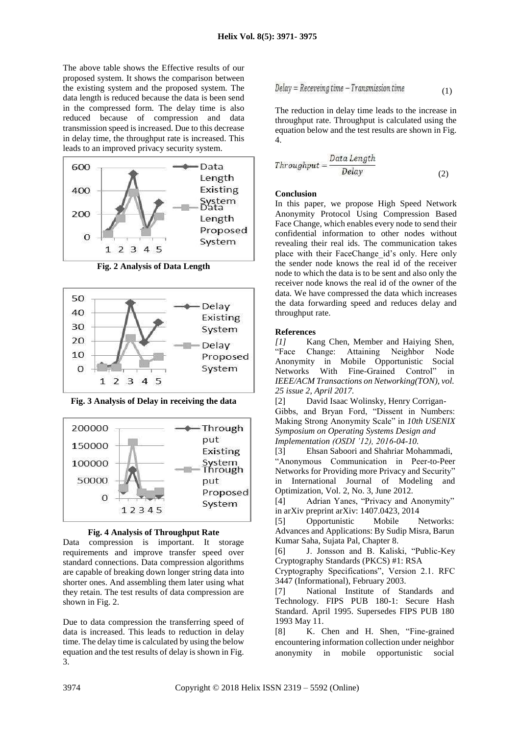The above table shows the Effective results of our proposed system. It shows the comparison between the existing system and the proposed system. The data length is reduced because the data is been send in the compressed form. The delay time is also reduced because of compression and data transmission speed is increased. Due to this decrease in delay time, the throughput rate is increased. This leads to an improved privacy security system.



**Fig. 2 Analysis of Data Length**



**Fig. 3 Analysis of Delay in receiving the data**





Data compression is important. It storage requirements and improve transfer speed over standard connections. Data compression algorithms are capable of breaking down longer string data into shorter ones. And assembling them later using what they retain. The test results of data compression are shown in Fig. 2.

Due to data compression the transferring speed of data is increased. This leads to reduction in delay time. The delay time is calculated by using the below equation and the test results of delay is shown in Fig. 3.

$$
Delay = Receveing time - Transmission time
$$
\n(1)

The reduction in delay time leads to the increase in throughput rate. Throughput is calculated using the equation below and the test results are shown in Fig. 4.

$$
Throughput = \frac{Data Length}{Delay} \tag{2}
$$

# **Conclusion**

In this paper, we propose High Speed Network Anonymity Protocol Using Compression Based Face Change, which enables every node to send their confidential information to other nodes without revealing their real ids. The communication takes place with their FaceChange id's only. Here only the sender node knows the real id of the receiver node to which the data is to be sent and also only the receiver node knows the real id of the owner of the data. We have compressed the data which increases the data forwarding speed and reduces delay and throughput rate.

## **References**

*[1]* Kang Chen, Member and Haiying Shen, "Face Change: Attaining Neighbor Node Anonymity in Mobile Opportunistic Social Networks With Fine-Grained Control" in *IEEE/ACM Transactions on Networking(TON), vol. 25 issue 2, April 2017.*

[2] David Isaac Wolinsky, Henry Corrigan-Gibbs, and Bryan Ford, "Dissent in Numbers: Making Strong Anonymity Scale" in *10th USENIX Symposium on Operating Systems Design and Implementation (OSDI '12), 2016-04-10.*

[3] Ehsan Saboori and Shahriar Mohammadi, "Anonymous Communication in Peer-to-Peer Networks for Providing more Privacy and Security" in International Journal of Modeling and Optimization, Vol. 2, No. 3, June 2012.

[4] Adrian Yanes, "Privacy and Anonymity" in arXiv preprint arXiv: 1407.0423, 2014

[5] Opportunistic Mobile Networks: Advances and Applications: By Sudip Misra, Barun Kumar Saha, Sujata Pal, Chapter 8.

[6] J. Jonsson and B. Kaliski, "Public-Key Cryptography Standards (PKCS) #1: RSA

Cryptography Specifications", Version 2.1. RFC 3447 (Informational), February 2003.

[7] National Institute of Standards and Technology. FIPS PUB 180-1: Secure Hash Standard. April 1995. Supersedes FIPS PUB 180 1993 May 11.

[8] K. Chen and H. Shen, "Fine-grained encountering information collection under neighbor anonymity in mobile opportunistic social